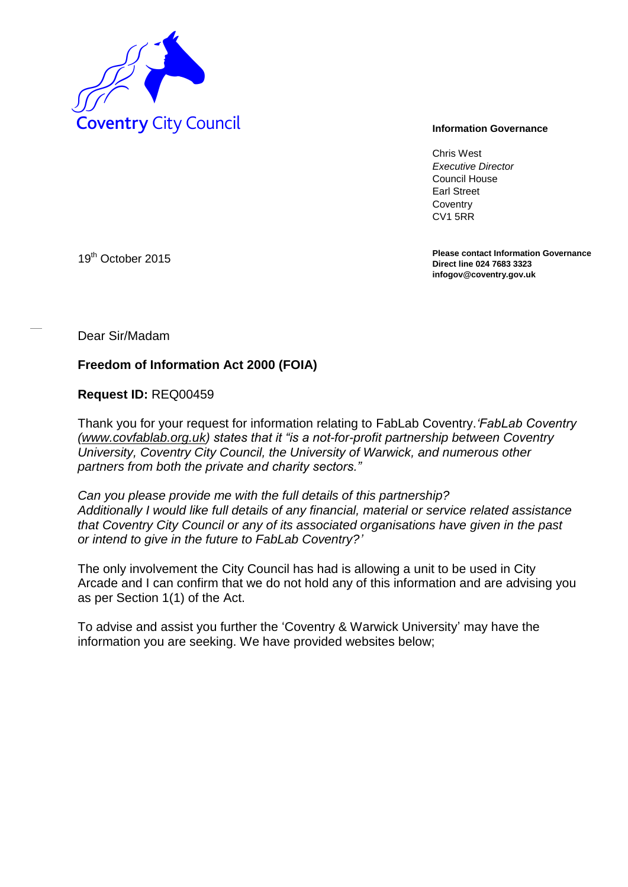

Chris West *Executive Director* Council House Earl Street **Coventry** CV1 5RR

**Please contact Information Governance Direct line 024 7683 3323 infogov@coventry.gov.uk** 

19<sup>th</sup> October 2015

Dear Sir/Madam

## **Freedom of Information Act 2000 (FOIA)**

**Request ID:** REQ00459

Thank you for your request for information relating to FabLab Coventry.*'FabLab Coventry [\(www.covfablab.org.uk\)](http://www.covfablab.org.uk/) states that it "is a not-for-profit partnership between Coventry University, Coventry City Council, the University of Warwick, and numerous other partners from both the private and charity sectors."*

*Can you please provide me with the full details of this partnership? Additionally I would like full details of any financial, material or service related assistance that Coventry City Council or any of its associated organisations have given in the past or intend to give in the future to FabLab Coventry?'*

The only involvement the City Council has had is allowing a unit to be used in City Arcade and I can confirm that we do not hold any of this information and are advising you as per Section 1(1) of the Act.

To advise and assist you further the 'Coventry & Warwick University' may have the information you are seeking. We have provided websites below;